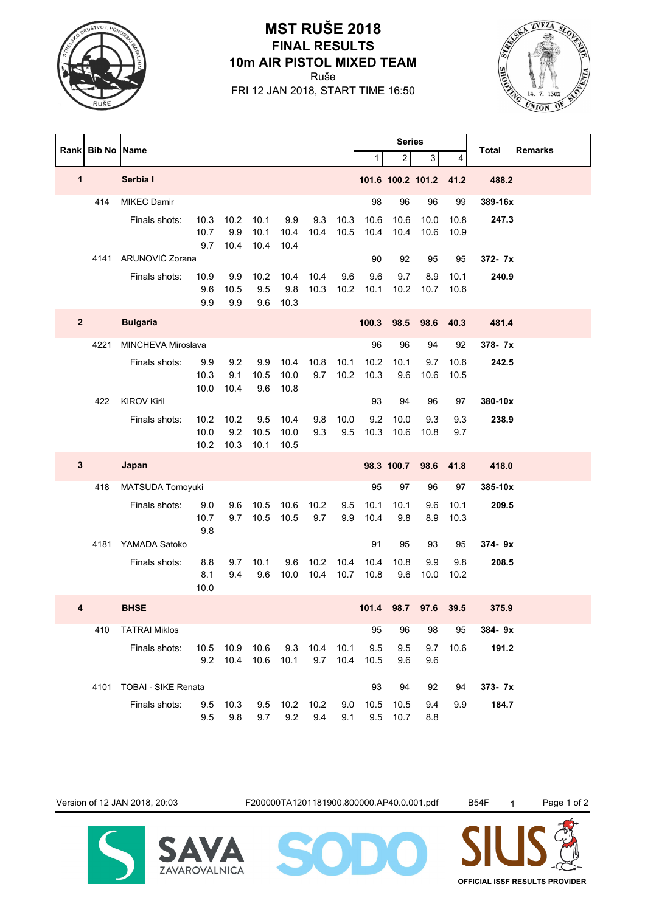

## Ruše **10m AIR PISTOL MIXED TEAM FINAL RESULTS MST RUŠE 2018**

FRI 12 JAN 2018, START TIME 16:50



|                | Rank Bib No Name |                          |                      |                        |                      |                      |              | <b>Series</b> |              |                | <b>Total</b>      | <b>Remarks</b> |         |  |
|----------------|------------------|--------------------------|----------------------|------------------------|----------------------|----------------------|--------------|---------------|--------------|----------------|-------------------|----------------|---------|--|
|                |                  |                          |                      |                        |                      |                      |              |               | $\mathbf{1}$ | $\overline{2}$ | 3                 | 4              |         |  |
| 1              |                  | Serbia I                 |                      |                        |                      |                      |              |               |              |                | 101.6 100.2 101.2 | 41.2           | 488.2   |  |
|                | 414              | <b>MIKEC Damir</b>       |                      |                        |                      |                      |              |               | 98           | 96             | 96                | 99             | 389-16x |  |
|                |                  | Finals shots:            | 10.3<br>10.7<br>9.7  | 10.2<br>9.9<br>10.4    | 10.1<br>10.1<br>10.4 | 9.9<br>10.4<br>10.4  | 9.3<br>10.4  | 10.3<br>10.5  | 10.6<br>10.4 | 10.6<br>10.4   | 10.0<br>10.6      | 10.8<br>10.9   | 247.3   |  |
|                | 4141             | ARUNOVIĆ Zorana          |                      |                        |                      |                      |              |               | 90           | 92             | 95                | 95             | 372- 7x |  |
|                |                  | Finals shots:            | 10.9<br>9.6<br>9.9   | 9.9<br>10.5<br>9.9     | 10.2<br>9.5<br>9.6   | 10.4<br>9.8<br>10.3  | 10.4<br>10.3 | 9.6<br>10.2   | 9.6<br>10.1  | 9.7<br>10.2    | 8.9<br>10.7       | 10.1<br>10.6   | 240.9   |  |
| $\overline{2}$ |                  | <b>Bulgaria</b>          |                      |                        |                      |                      |              |               | 100.3        | 98.5           | 98.6              | 40.3           | 481.4   |  |
|                | 4221             | MINCHEVA Miroslava       |                      |                        |                      |                      |              |               | 96           | 96             | 94                | 92             | 378-7x  |  |
|                |                  | Finals shots:            | 9.9<br>10.3<br>10.0  | 9.2<br>9.1<br>10.4     | 9.9<br>10.5<br>9.6   | 10.4<br>10.0<br>10.8 | 10.8<br>9.7  | 10.1<br>10.2  | 10.2<br>10.3 | 10.1<br>9.6    | 9.7<br>10.6       | 10.6<br>10.5   | 242.5   |  |
|                | 422              | <b>KIROV Kiril</b>       |                      |                        |                      |                      |              |               | 93           | 94             | 96                | 97             | 380-10x |  |
|                |                  | Finals shots:            | 10.2<br>10.0<br>10.2 | 10.2<br>9.2<br>10.3    | 9.5<br>10.5<br>10.1  | 10.4<br>10.0<br>10.5 | 9.8<br>9.3   | 10.0<br>9.5   | 9.2<br>10.3  | 10.0<br>10.6   | 9.3<br>10.8       | 9.3<br>9.7     | 238.9   |  |
| $\mathbf{3}$   |                  | Japan                    |                      |                        |                      |                      |              |               |              | 98.3 100.7     | 98.6              | 41.8           | 418.0   |  |
|                | 418              | MATSUDA Tomoyuki         |                      |                        |                      |                      |              |               | 95           | 97             | 96                | 97             | 385-10x |  |
|                |                  | Finals shots:            | 9.0<br>10.7<br>9.8   | 9.6<br>9.7             | 10.5<br>10.5         | 10.6<br>10.5         | 10.2<br>9.7  | 9.5<br>9.9    | 10.1<br>10.4 | 10.1<br>9.8    | 9.6<br>8.9        | 10.1<br>10.3   | 209.5   |  |
|                | 4181             | YAMADA Satoko            |                      |                        |                      |                      |              |               | 91           | 95             | 93                | 95             | 374-9x  |  |
|                |                  | Finals shots:            | 8.8<br>8.1<br>10.0   | 9.7<br>9.4             | 10.1<br>9.6          | 9.6<br>10.0          | 10.2<br>10.4 | 10.4<br>10.7  | 10.4<br>10.8 | 10.8<br>9.6    | 9.9<br>10.0       | 9.8<br>10.2    | 208.5   |  |
| 4              |                  | <b>BHSE</b>              |                      |                        |                      |                      |              |               | 101.4        | 98.7           | 97.6              | 39.5           | 375.9   |  |
|                | 410              | <b>TATRAI Miklos</b>     |                      |                        |                      |                      |              |               | 95           | 96             | 98                | 95             | 384-9x  |  |
|                |                  | Finals shots:            | 9.2                  | 10.5 10.9 10.6<br>10.4 | 10.6                 | 9.3<br>10.1          | 10.4<br>9.7  | 10.1<br>10.4  | 9.5<br>10.5  | 9.5<br>9.6     | 9.7<br>9.6        | 10.6           | 191.2   |  |
|                |                  | 4101 TOBAI - SIKE Renata |                      |                        |                      |                      |              |               | 93           | 94             | 92                | 94             | 373- 7x |  |
|                |                  | Finals shots:            | 9.5<br>9.5           | 10.3<br>9.8            | 9.7                  | 9.5 10.2 10.2        | 9.2 9.4      | 9.0<br>9.1    | 10.5<br>9.5  | 10.5<br>10.7   | 9.4<br>8.8        | 9.9            | 184.7   |  |

**SAVAROVALNICA** 

Version of 12 JAN 2018, 20:03 F200000TA1201181900.800000.AP40.0.001.pdf B54F 1 Page 1 of 2

MODI